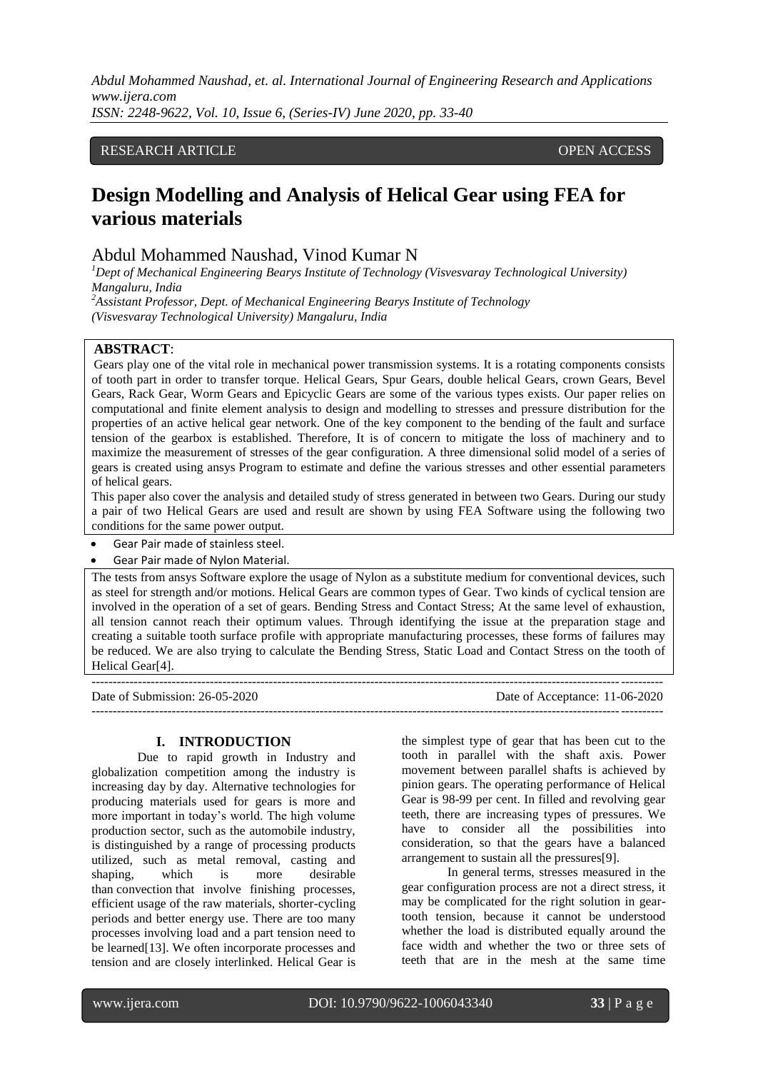## RESEARCH ARTICLE **CONSERVERS** OPEN ACCESS

# **Design Modelling and Analysis of Helical Gear using FEA for various materials**

## Abdul Mohammed Naushad, Vinod Kumar N

*<sup>1</sup>Dept of Mechanical Engineering Bearys Institute of Technology (Visvesvaray Technological University) Mangaluru, India <sup>2</sup>Assistant Professor, Dept. of Mechanical Engineering Bearys Institute of Technology*

*(Visvesvaray Technological University) Mangaluru, India*

## **ABSTRACT**:

Gears play one of the vital role in mechanical power transmission systems. It is a rotating components consists of tooth part in order to transfer torque. Helical Gears, Spur Gears, double helical Gears, crown Gears, Bevel Gears, Rack Gear, Worm Gears and Epicyclic Gears are some of the various types exists. Our paper relies on computational and finite element analysis to design and modelling to stresses and pressure distribution for the properties of an active helical gear network. One of the key component to the bending of the fault and surface tension of the gearbox is established. Therefore, It is of concern to mitigate the loss of machinery and to maximize the measurement of stresses of the gear configuration. A three dimensional solid model of a series of gears is created using ansys Program to estimate and define the various stresses and other essential parameters of helical gears.

This paper also cover the analysis and detailed study of stress generated in between two Gears. During our study a pair of two Helical Gears are used and result are shown by using FEA Software using the following two conditions for the same power output.

Gear Pair made of stainless steel.

Gear Pair made of Nylon Material.

The tests from ansys Software explore the usage of Nylon as a substitute medium for conventional devices, such as steel for strength and/or motions. Helical Gears are common types of Gear. Two kinds of cyclical tension are involved in the operation of a set of gears. Bending Stress and Contact Stress; At the same level of exhaustion, all tension cannot reach their optimum values. Through identifying the issue at the preparation stage and creating a suitable tooth surface profile with appropriate manufacturing processes, these forms of failures may be reduced. We are also trying to calculate the Bending Stress, Static Load and Contact Stress on the tooth of Helical Gear[4].

--------------------------------------------------------------------------------------------------------------------------------------- Date of Submission: 26-05-2020 Date of Acceptance: 11-06-2020 ---------------------------------------------------------------------------------------------------------------------------------------

#### **I. INTRODUCTION**

Due to rapid growth in Industry and globalization competition among the industry is increasing day by day. Alternative technologies for producing materials used for gears is more and more important in today"s world. The high volume production sector, such as the automobile industry, is distinguished by a range of processing products utilized, such as metal removal, casting and shaping, which is more desirable than convection that involve finishing processes, efficient usage of the raw materials, shorter-cycling periods and better energy use. There are too many processes involving load and a part tension need to be learned[13]. We often incorporate processes and tension and are closely interlinked. Helical Gear is

the simplest type of gear that has been cut to the tooth in parallel with the shaft axis. Power movement between parallel shafts is achieved by pinion gears. The operating performance of Helical Gear is 98-99 per cent. In filled and revolving gear teeth, there are increasing types of pressures. We have to consider all the possibilities into consideration, so that the gears have a balanced arrangement to sustain all the pressures[9].

In general terms, stresses measured in the gear configuration process are not a direct stress, it may be complicated for the right solution in geartooth tension, because it cannot be understood whether the load is distributed equally around the face width and whether the two or three sets of teeth that are in the mesh at the same time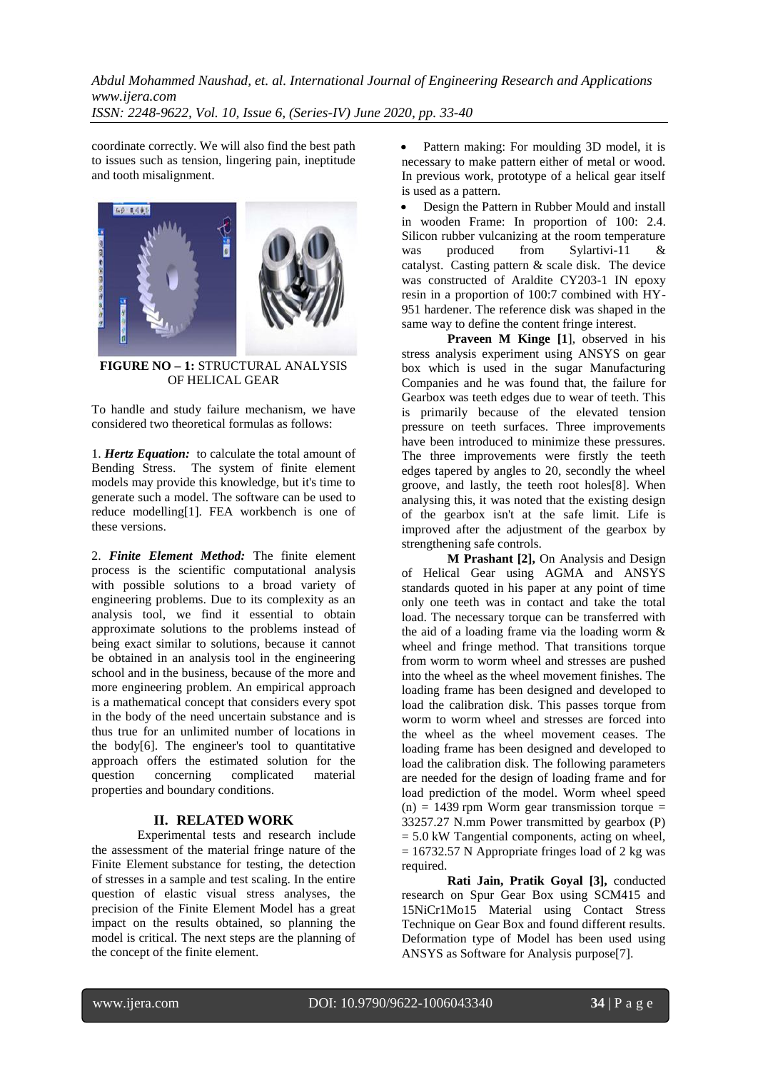*Abdul Mohammed Naushad, et. al. International Journal of Engineering Research and Applications www.ijera.com*

*ISSN: 2248-9622, Vol. 10, Issue 6, (Series-IV) June 2020, pp. 33-40*

coordinate correctly. We will also find the best path to issues such as tension, lingering pain, ineptitude and tooth misalignment.



**FIGURE NO – 1:** STRUCTURAL ANALYSIS OF HELICAL GEAR

To handle and study failure mechanism, we have considered two theoretical formulas as follows:

1. *Hertz Equation:* to calculate the total amount of Bending Stress. The system of finite element models may provide this knowledge, but it's time to generate such a model. The software can be used to reduce modelling[1]. FEA workbench is one of these versions.

2. *Finite Element Method:* The finite element process is the scientific computational analysis with possible solutions to a broad variety of engineering problems. Due to its complexity as an analysis tool, we find it essential to obtain approximate solutions to the problems instead of being exact similar to solutions, because it cannot be obtained in an analysis tool in the engineering school and in the business, because of the more and more engineering problem. An empirical approach is a mathematical concept that considers every spot in the body of the need uncertain substance and is thus true for an unlimited number of locations in the body[6]. The engineer's tool to quantitative approach offers the estimated solution for the question concerning complicated material properties and boundary conditions.

## **II. RELATED WORK**

Experimental tests and research include the assessment of the material fringe nature of the Finite Element substance for testing, the detection of stresses in a sample and test scaling. In the entire question of elastic visual stress analyses, the precision of the Finite Element Model has a great impact on the results obtained, so planning the model is critical. The next steps are the planning of the concept of the finite element.

 Pattern making: For moulding 3D model, it is necessary to make pattern either of metal or wood. In previous work, prototype of a helical gear itself is used as a pattern.

 Design the Pattern in Rubber Mould and install in wooden Frame: In proportion of 100: 2.4. Silicon rubber vulcanizing at the room temperature was produced from Sylartivi-11 & catalyst. Casting pattern & scale disk. The device was constructed of Araldite CY203-1 IN epoxy resin in a proportion of 100:7 combined with HY-951 hardener. The reference disk was shaped in the same way to define the content fringe interest.

**Praveen M Kinge [1]**, observed in his stress analysis experiment using ANSYS on gear box which is used in the sugar Manufacturing Companies and he was found that, the failure for Gearbox was teeth edges due to wear of teeth. This is primarily because of the elevated tension pressure on teeth surfaces. Three improvements have been introduced to minimize these pressures. The three improvements were firstly the teeth edges tapered by angles to 20, secondly the wheel groove, and lastly, the teeth root holes[8]. When analysing this, it was noted that the existing design of the gearbox isn't at the safe limit. Life is improved after the adjustment of the gearbox by strengthening safe controls.

**M Prashant [2],** On Analysis and Design of Helical Gear using AGMA and ANSYS standards quoted in his paper at any point of time only one teeth was in contact and take the total load. The necessary torque can be transferred with the aid of a loading frame via the loading worm & wheel and fringe method. That transitions torque from worm to worm wheel and stresses are pushed into the wheel as the wheel movement finishes. The loading frame has been designed and developed to load the calibration disk. This passes torque from worm to worm wheel and stresses are forced into the wheel as the wheel movement ceases. The loading frame has been designed and developed to load the calibration disk. The following parameters are needed for the design of loading frame and for load prediction of the model. Worm wheel speed  $(n) = 1439$  rpm Worm gear transmission torque = 33257.27 N.mm Power transmitted by gearbox (P) = 5.0 kW Tangential components, acting on wheel,  $= 16732.57$  N Appropriate fringes load of 2 kg was required.

**Rati Jain, Pratik Goyal [3],** conducted research on Spur Gear Box using SCM415 and 15NiCr1Mo15 Material using Contact Stress Technique on Gear Box and found different results. Deformation type of Model has been used using ANSYS as Software for Analysis purpose[7].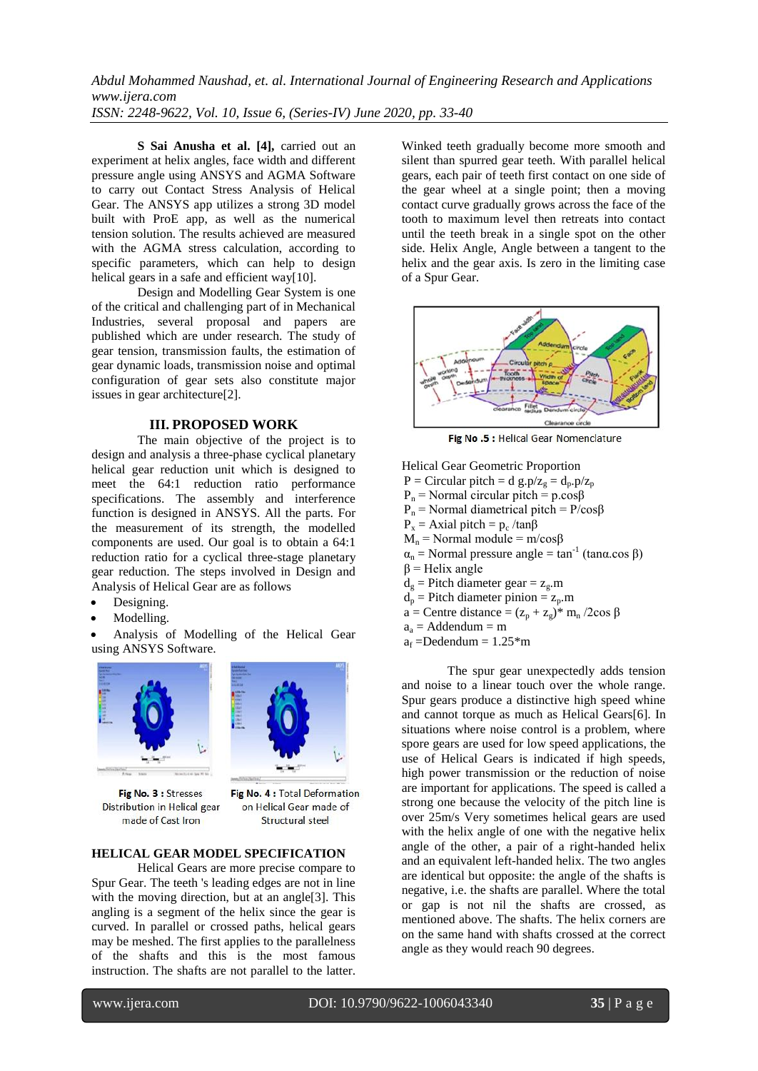**S Sai Anusha et al. [4],** carried out an experiment at helix angles, face width and different pressure angle using ANSYS and AGMA Software to carry out Contact Stress Analysis of Helical Gear. The ANSYS app utilizes a strong 3D model built with ProE app, as well as the numerical tension solution. The results achieved are measured with the AGMA stress calculation, according to specific parameters, which can help to design helical gears in a safe and efficient way[10].

Design and Modelling Gear System is one of the critical and challenging part of in Mechanical Industries, several proposal and papers are published which are under research. The study of gear tension, transmission faults, the estimation of gear dynamic loads, transmission noise and optimal configuration of gear sets also constitute major issues in gear architecture[2].

## **III. PROPOSED WORK**

The main objective of the project is to design and analysis a three-phase cyclical planetary helical gear reduction unit which is designed to meet the 64:1 reduction ratio performance specifications. The assembly and interference function is designed in ANSYS. All the parts. For the measurement of its strength, the modelled components are used. Our goal is to obtain a 64:1 reduction ratio for a cyclical three-stage planetary gear reduction. The steps involved in Design and Analysis of Helical Gear are as follows

- Designing.
- Modelling.

 Analysis of Modelling of the Helical Gear using ANSYS Software.





Fig No. 3 : Stresses Distribution in Helical gear made of Cast Iron

Fig No. 4 : Total Deformation on Helical Gear made of Structural steel

## **HELICAL GEAR MODEL SPECIFICATION**

Helical Gears are more precise compare to Spur Gear. The teeth 's leading edges are not in line with the moving direction, but at an angle<sup>[3]</sup>. This angling is a segment of the helix since the gear is curved. In parallel or crossed paths, helical gears may be meshed. The first applies to the parallelness of the shafts and this is the most famous instruction. The shafts are not parallel to the latter. Winked teeth gradually become more smooth and silent than spurred gear teeth. With parallel helical gears, each pair of teeth first contact on one side of the gear wheel at a single point; then a moving contact curve gradually grows across the face of the tooth to maximum level then retreats into contact until the teeth break in a single spot on the other side. Helix Angle, Angle between a tangent to the helix and the gear axis. Is zero in the limiting case of a Spur Gear.



Fig No.5 : Helical Gear Nomenclature

- Helical Gear Geometric Proportion P = Circular pitch = d g.p/z<sub>o</sub> =  $d_p p/z_p$
- $P_n$  = Normal circular pitch = p.cos $\beta$
- $P_n$  = Normal diametrical pitch =  $P/cos\beta$
- $P_x = Axial pitch = p_c / tan\beta$
- $M_n$  = Normal module = m/cos $\beta$
- $\alpha_n$  = Normal pressure angle = tan<sup>-1</sup> (tan $\alpha$ .cos  $\beta$ )
- $β = Helix angle$
- $d_g$  = Pitch diameter gear =  $z_g$ .m
- $d_p$  = Pitch diameter pinion =  $z_p$ .m
- a = Centre distance =  $(z_p + z_g)^*$  m<sub>n</sub> /2cos  $\beta$
- $a_a =$  Addendum = m
- $a_f = Dedendum = 1.25*m$

The spur gear unexpectedly adds tension and noise to a linear touch over the whole range. Spur gears produce a distinctive high speed whine and cannot torque as much as Helical Gears[6]. In situations where noise control is a problem, where spore gears are used for low speed applications, the use of Helical Gears is indicated if high speeds, high power transmission or the reduction of noise are important for applications. The speed is called a strong one because the velocity of the pitch line is over 25m/s Very sometimes helical gears are used with the helix angle of one with the negative helix angle of the other, a pair of a right-handed helix and an equivalent left-handed helix. The two angles are identical but opposite: the angle of the shafts is negative, i.e. the shafts are parallel. Where the total or gap is not nil the shafts are crossed, as mentioned above. The shafts. The helix corners are on the same hand with shafts crossed at the correct angle as they would reach 90 degrees.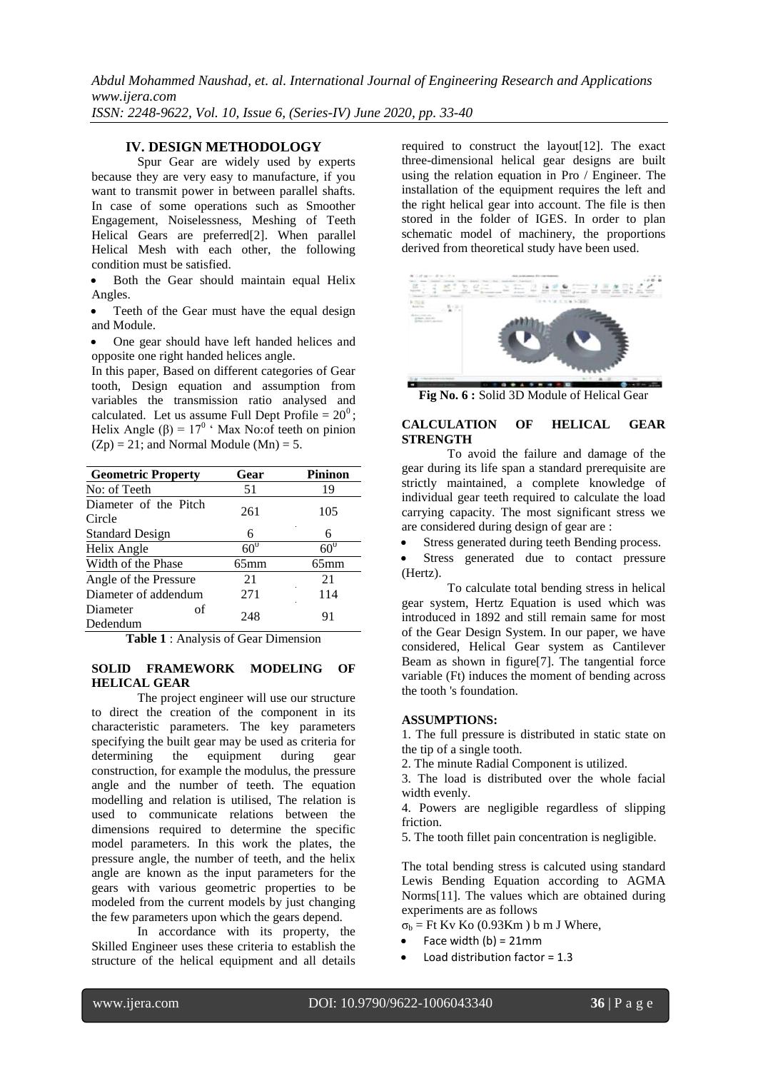### **IV. DESIGN METHODOLOGY**

Spur Gear are widely used by experts because they are very easy to manufacture, if you want to transmit power in between parallel shafts. In case of some operations such as Smoother Engagement, Noiselessness, Meshing of Teeth Helical Gears are preferred[2]. When parallel Helical Mesh with each other, the following condition must be satisfied.

 Both the Gear should maintain equal Helix Angles.

 Teeth of the Gear must have the equal design and Module.

 One gear should have left handed helices and opposite one right handed helices angle.

In this paper, Based on different categories of Gear tooth, Design equation and assumption from variables the transmission ratio analysed and calculated. Let us assume Full Dept Profile =  $20^0$ ; Helix Angle  $(\beta) = 17^0$  ' Max No:of teeth on pinion  $(Zp) = 21$ ; and Normal Module (Mn) = 5.

| <b>Geometric Property</b>       | Gear    | <b>Pininon</b> |
|---------------------------------|---------|----------------|
| No: of Teeth                    | 51      | 19             |
| Diameter of the Pitch<br>Circle | 261     | 105            |
| <b>Standard Design</b>          | 6       | 6              |
| Helix Angle                     | $60^0$  | $60^0$         |
| Width of the Phase              | $65$ mm | $65 \text{mm}$ |
| Angle of the Pressure           | 21      | 21             |
| Diameter of addendum            | 271     | 114            |
| Diameter<br>of<br>Dedendum      | 248     | 91             |

**Table 1** : Analysis of Gear Dimension

#### **SOLID FRAMEWORK MODELING OF HELICAL GEAR**

The project engineer will use our structure to direct the creation of the component in its characteristic parameters. The key parameters specifying the built gear may be used as criteria for determining the equipment during gear construction, for example the modulus, the pressure angle and the number of teeth. The equation modelling and relation is utilised, The relation is used to communicate relations between the dimensions required to determine the specific model parameters. In this work the plates, the pressure angle, the number of teeth, and the helix angle are known as the input parameters for the gears with various geometric properties to be modeled from the current models by just changing the few parameters upon which the gears depend.

In accordance with its property, the Skilled Engineer uses these criteria to establish the structure of the helical equipment and all details

required to construct the layout[12]. The exact three-dimensional helical gear designs are built using the relation equation in Pro / Engineer. The installation of the equipment requires the left and the right helical gear into account. The file is then stored in the folder of IGES. In order to plan schematic model of machinery, the proportions derived from theoretical study have been used.



**Fig No. 6 :** Solid 3D Module of Helical Gear

#### **CALCULATION OF HELICAL GEAR STRENGTH**

To avoid the failure and damage of the gear during its life span a standard prerequisite are strictly maintained, a complete knowledge of individual gear teeth required to calculate the load carrying capacity. The most significant stress we are considered during design of gear are :

Stress generated during teeth Bending process.

 Stress generated due to contact pressure (Hertz).

To calculate total bending stress in helical gear system, Hertz Equation is used which was introduced in 1892 and still remain same for most of the Gear Design System. In our paper, we have considered, Helical Gear system as Cantilever Beam as shown in figure[7]. The tangential force variable (Ft) induces the moment of bending across the tooth 's foundation.

#### **ASSUMPTIONS:**

1. The full pressure is distributed in static state on the tip of a single tooth.

2. The minute Radial Component is utilized.

3. The load is distributed over the whole facial width evenly.

4. Powers are negligible regardless of slipping friction.

5. The tooth fillet pain concentration is negligible.

The total bending stress is calcuted using standard Lewis Bending Equation according to AGMA Norms[11]. The values which are obtained during experiments are as follows

 $\sigma_b$  = Ft Kv Ko (0.93Km) b m J Where,

- Face width  $(b) = 21$ mm
- Load distribution factor = 1.3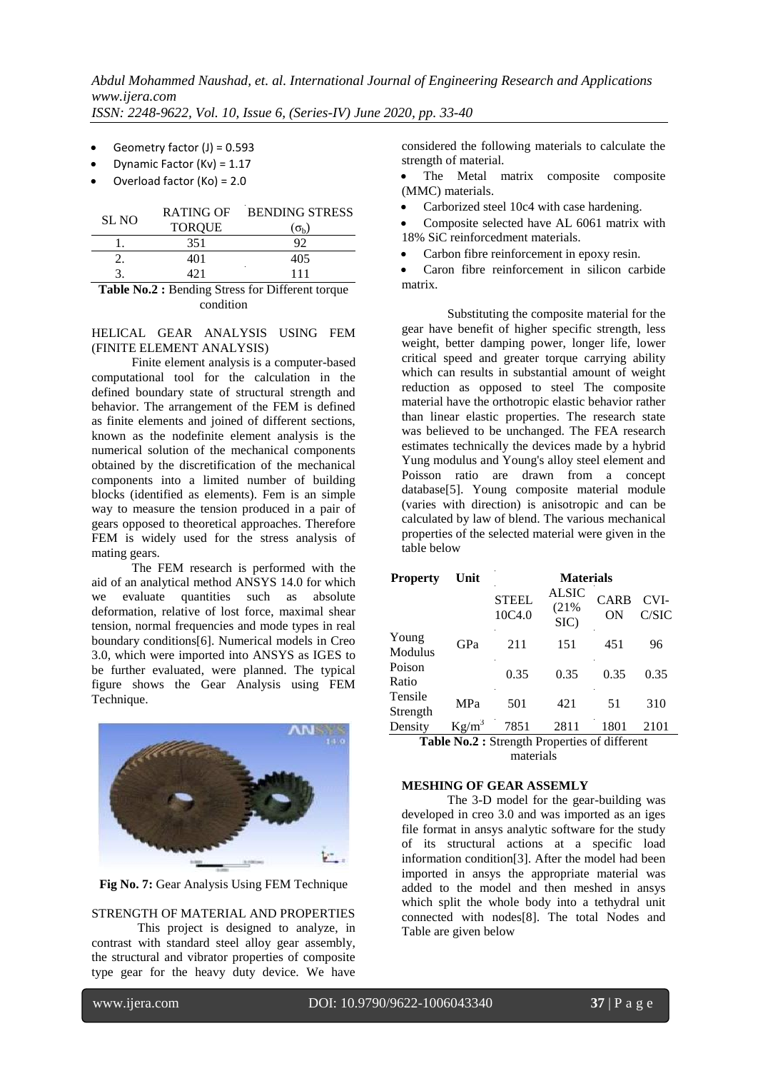- Geometry factor (J) = 0.593
- Dynamic Factor (Kv) = 1.17
- Overload factor (Ko) = 2.0

| SL NO | RATING OF     | <b>BENDING STRESS</b> |  |  |  |
|-------|---------------|-----------------------|--|--|--|
|       | <b>TOROUE</b> | $(\sigma_{\rm b})$    |  |  |  |
|       | 351           | 92                    |  |  |  |
|       | 401           | 405                   |  |  |  |
|       | 491           | 111                   |  |  |  |

**Table No.2 :** Bending Stress for Different torque condition

## HELICAL GEAR ANALYSIS USING FEM (FINITE ELEMENT ANALYSIS)

Finite element analysis is a computer-based computational tool for the calculation in the defined boundary state of structural strength and behavior. The arrangement of the FEM is defined as finite elements and joined of different sections, known as the nodefinite element analysis is the numerical solution of the mechanical components obtained by the discretification of the mechanical components into a limited number of building blocks (identified as elements). Fem is an simple way to measure the tension produced in a pair of gears opposed to theoretical approaches. Therefore FEM is widely used for the stress analysis of mating gears.

The FEM research is performed with the aid of an analytical method ANSYS 14.0 for which we evaluate quantities such as absolute deformation, relative of lost force, maximal shear tension, normal frequencies and mode types in real boundary conditions[6]. Numerical models in Creo 3.0, which were imported into ANSYS as IGES to be further evaluated, were planned. The typical figure shows the Gear Analysis using FEM Technique.





#### STRENGTH OF MATERIAL AND PROPERTIES

This project is designed to analyze, in contrast with standard steel alloy gear assembly, the structural and vibrator properties of composite type gear for the heavy duty device. We have

considered the following materials to calculate the strength of material.

 The Metal matrix composite composite (MMC) materials.

Carborized steel 10c4 with case hardening.

 Composite selected have AL 6061 matrix with 18% SiC reinforcedment materials.

Carbon fibre reinforcement in epoxy resin.

 Caron fibre reinforcement in silicon carbide matrix.

Substituting the composite material for the gear have benefit of higher specific strength, less weight, better damping power, longer life, lower critical speed and greater torque carrying ability which can results in substantial amount of weight reduction as opposed to steel The composite material have the orthotropic elastic behavior rather than linear elastic properties. The research state was believed to be unchanged. The FEA research estimates technically the devices made by a hybrid Yung modulus and Young's alloy steel element and Poisson ratio are drawn from a concept database[5]. Young composite material module (varies with direction) is anisotropic and can be calculated by law of blend. The various mechanical properties of the selected material were given in the table below

| ALSIC<br><b>STEEL</b><br><b>CARB</b><br>CVI-<br>(21%<br>10C4.0<br>C/SIC<br>ON<br>SIC)                                                  | <b>Materials</b> |  |  |  |  |  |  |  |
|----------------------------------------------------------------------------------------------------------------------------------------|------------------|--|--|--|--|--|--|--|
|                                                                                                                                        |                  |  |  |  |  |  |  |  |
| Young<br>GPa<br>151<br>211<br>451<br>96<br>Modulus                                                                                     |                  |  |  |  |  |  |  |  |
| Poison<br>0.35<br>0.35<br>0.35<br>0.35<br>Ratio                                                                                        |                  |  |  |  |  |  |  |  |
| Tensile<br><b>MPa</b><br>310<br>501<br>421<br>51<br>Strength                                                                           |                  |  |  |  |  |  |  |  |
| $Kg/m^3$<br>Density<br>7851<br>2811<br>1801<br>2101<br>$\bullet$<br>$\sim$<br>$\sim$<br>$\mathbf{v}$<br>$\sim$<br>$\sim$ $\sim$<br>. . |                  |  |  |  |  |  |  |  |

**Table No.2 :** Strength Properties of different materials

#### **MESHING OF GEAR ASSEMLY**

The 3-D model for the gear-building was developed in creo 3.0 and was imported as an iges file format in ansys analytic software for the study of its structural actions at a specific load information condition[3]. After the model had been imported in ansys the appropriate material was added to the model and then meshed in ansys which split the whole body into a tethydral unit connected with nodes[8]. The total Nodes and Table are given below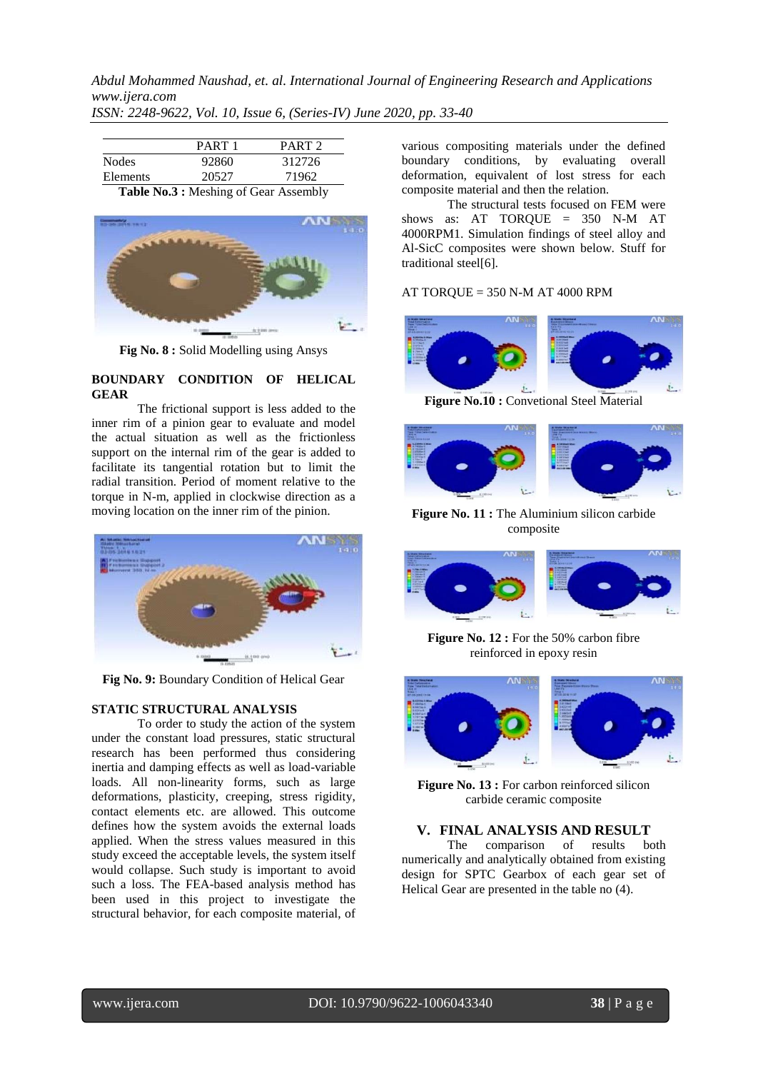PART 1 PART 2 Nodes 92860 312726 Elements 20527 71962

**Table No.3 :** Meshing of Gear Assembly



**Fig No. 8 :** Solid Modelling using Ansys

#### **BOUNDARY CONDITION OF HELICAL GEAR**

The frictional support is less added to the inner rim of a pinion gear to evaluate and model the actual situation as well as the frictionless support on the internal rim of the gear is added to facilitate its tangential rotation but to limit the radial transition. Period of moment relative to the torque in N-m, applied in clockwise direction as a moving location on the inner rim of the pinion.



**Fig No. 9:** Boundary Condition of Helical Gear

#### **STATIC STRUCTURAL ANALYSIS**

To order to study the action of the system under the constant load pressures, static structural research has been performed thus considering inertia and damping effects as well as load-variable loads. All non-linearity forms, such as large deformations, plasticity, creeping, stress rigidity, contact elements etc. are allowed. This outcome defines how the system avoids the external loads applied. When the stress values measured in this study exceed the acceptable levels, the system itself would collapse. Such study is important to avoid such a loss. The FEA-based analysis method has been used in this project to investigate the structural behavior, for each composite material, of various compositing materials under the defined boundary conditions, by evaluating overall deformation, equivalent of lost stress for each composite material and then the relation.

The structural tests focused on FEM were shows as: AT TORQUE = 350 N-M AT 4000RPM1. Simulation findings of steel alloy and Al-SicC composites were shown below. Stuff for traditional steel[6].

#### AT TORQUE = 350 N-M AT 4000 RPM



**Figure No.10 :** Convetional Steel Material



**Figure No. 11 :** The Aluminium silicon carbide composite



**Figure No. 12 :** For the 50% carbon fibre reinforced in epoxy resin



**Figure No. 13 :** For carbon reinforced silicon carbide ceramic composite

## **V. FINAL ANALYSIS AND RESULT**

The comparison of results both numerically and analytically obtained from existing design for SPTC Gearbox of each gear set of Helical Gear are presented in the table no (4).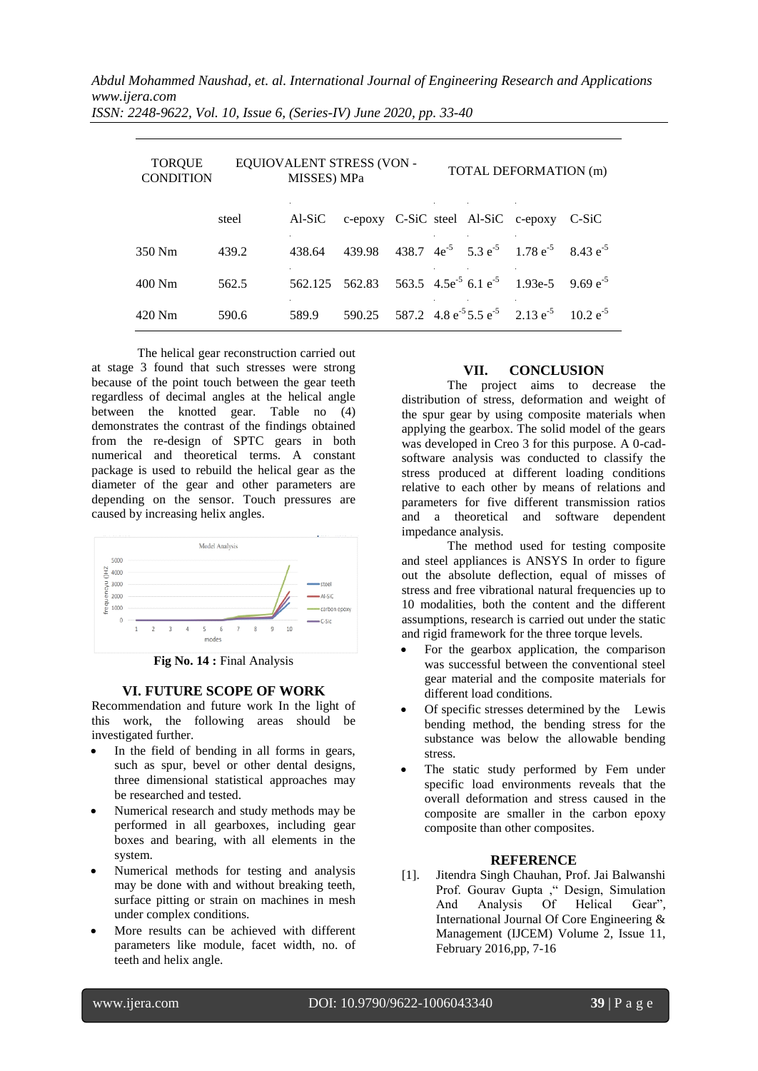*Abdul Mohammed Naushad, et. al. International Journal of Engineering Research and Applications www.ijera.com*

|  | ISSN: 2248-9622, Vol. 10, Issue 6, (Series-IV) June 2020, pp. 33-40 |  |  |  |  |  |  |  |  |
|--|---------------------------------------------------------------------|--|--|--|--|--|--|--|--|
|--|---------------------------------------------------------------------|--|--|--|--|--|--|--|--|

| <b>TORQUE</b><br><b>CONDITION</b> | EQUIOVALENT STRESS (VON -<br>MISSES) MPa |                |        |  |  | TOTAL DEFORMATION (m) |                                                                                      |  |  |
|-----------------------------------|------------------------------------------|----------------|--------|--|--|-----------------------|--------------------------------------------------------------------------------------|--|--|
|                                   | steel                                    | Al-SiC         |        |  |  |                       | c-epoxy C-SiC steel Al-SiC c-epoxy C-SiC                                             |  |  |
| 350 Nm                            | 439.2                                    | 438.64         | 439.98 |  |  |                       | 438.7 4e <sup>-5</sup> 5.3 e <sup>-5</sup> 1.78 e <sup>-5</sup> 8.43 e <sup>-5</sup> |  |  |
| 400 Nm                            | 562.5                                    | 562.125 562.83 |        |  |  |                       | 563.5 4.5e <sup>-5</sup> 6.1 e <sup>-5</sup> 1.93e-5 9.69 e <sup>-5</sup>            |  |  |
| 420 Nm                            | 590.6                                    | 589.9          | 590.25 |  |  |                       | 587.2 4.8 $e^{-5}$ 5.5 $e^{-5}$ 2.13 $e^{-5}$ 10.2 $e^{-5}$                          |  |  |

The helical gear reconstruction carried out at stage 3 found that such stresses were strong because of the point touch between the gear teeth regardless of decimal angles at the helical angle between the knotted gear. Table no (4) demonstrates the contrast of the findings obtained from the re-design of SPTC gears in both numerical and theoretical terms. A constant package is used to rebuild the helical gear as the diameter of the gear and other parameters are depending on the sensor. Touch pressures are caused by increasing helix angles.



**Fig No. 14 :** Final Analysis

## **VI. FUTURE SCOPE OF WORK**

Recommendation and future work In the light of this work, the following areas should be investigated further.

- In the field of bending in all forms in gears, such as spur, bevel or other dental designs, three dimensional statistical approaches may be researched and tested.
- Numerical research and study methods may be performed in all gearboxes, including gear boxes and bearing, with all elements in the system.
- Numerical methods for testing and analysis may be done with and without breaking teeth, surface pitting or strain on machines in mesh under complex conditions.
- More results can be achieved with different parameters like module, facet width, no. of teeth and helix angle.

## **VII. CONCLUSION**

The project aims to decrease the distribution of stress, deformation and weight of the spur gear by using composite materials when applying the gearbox. The solid model of the gears was developed in Creo 3 for this purpose. A 0-cadsoftware analysis was conducted to classify the stress produced at different loading conditions relative to each other by means of relations and parameters for five different transmission ratios and a theoretical and software dependent impedance analysis.

The method used for testing composite and steel appliances is ANSYS In order to figure out the absolute deflection, equal of misses of stress and free vibrational natural frequencies up to 10 modalities, both the content and the different assumptions, research is carried out under the static and rigid framework for the three torque levels.

- For the gearbox application, the comparison was successful between the conventional steel gear material and the composite materials for different load conditions.
- Of specific stresses determined by the Lewis bending method, the bending stress for the substance was below the allowable bending stress.
- The static study performed by Fem under specific load environments reveals that the overall deformation and stress caused in the composite are smaller in the carbon epoxy composite than other composites.

#### **REFERENCE**

[1]. Jitendra Singh Chauhan, Prof. Jai Balwanshi Prof. Gourav Gupta ," Design, Simulation And Analysis Of Helical Gear", International Journal Of Core Engineering & Management (IJCEM) Volume 2, Issue 11, February 2016,pp, 7-16